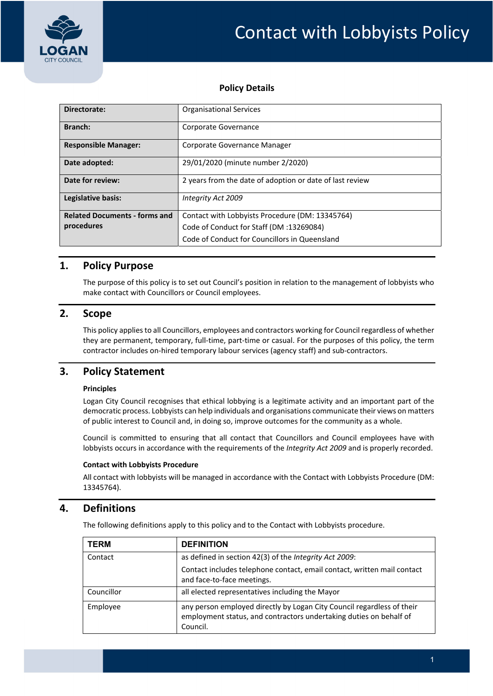

### **Policy Details**

| Directorate:                         | <b>Organisational Services</b>                           |  |
|--------------------------------------|----------------------------------------------------------|--|
| Branch:                              | Corporate Governance                                     |  |
| <b>Responsible Manager:</b>          | Corporate Governance Manager                             |  |
| Date adopted:                        | 29/01/2020 (minute number 2/2020)                        |  |
| Date for review:                     | 2 years from the date of adoption or date of last review |  |
| Legislative basis:                   | Integrity Act 2009                                       |  |
| <b>Related Documents - forms and</b> | Contact with Lobbyists Procedure (DM: 13345764)          |  |
| procedures                           | Code of Conduct for Staff (DM:13269084)                  |  |
|                                      | Code of Conduct for Councillors in Queensland            |  |

### **1. Policy Purpose**

The purpose of this policy is to set out Council's position in relation to the management of lobbyists who make contact with Councillors or Council employees.

## **2. Scope**

This policy appliesto all Councillors, employees and contractors working for Council regardless of whether they are permanent, temporary, full‐time, part‐time or casual. For the purposes of this policy, the term contractor includes on‐hired temporary labour services (agency staff) and sub‐contractors.

# **3. Policy Statement**

#### **Principles**

Logan City Council recognises that ethical lobbying is a legitimate activity and an important part of the democratic process. Lobbyists can help individuals and organisations communicate their views on matters of public interest to Council and, in doing so, improve outcomes for the community as a whole.

Council is committed to ensuring that all contact that Councillors and Council employees have with lobbyists occurs in accordance with the requirements of the *Integrity Act 2009* and is properly recorded.

#### **Contact with Lobbyists Procedure**

All contact with lobbyists will be managed in accordance with the Contact with Lobbyists Procedure (DM: 13345764).

# **4. Definitions**

The following definitions apply to this policy and to the Contact with Lobbyists procedure.

| TERM       | <b>DEFINITION</b>                                                                                                                                        |  |
|------------|----------------------------------------------------------------------------------------------------------------------------------------------------------|--|
| Contact    | as defined in section 42(3) of the Integrity Act 2009:                                                                                                   |  |
|            | Contact includes telephone contact, email contact, written mail contact<br>and face-to-face meetings.                                                    |  |
| Councillor | all elected representatives including the Mayor                                                                                                          |  |
| Employee   | any person employed directly by Logan City Council regardless of their<br>employment status, and contractors undertaking duties on behalf of<br>Council. |  |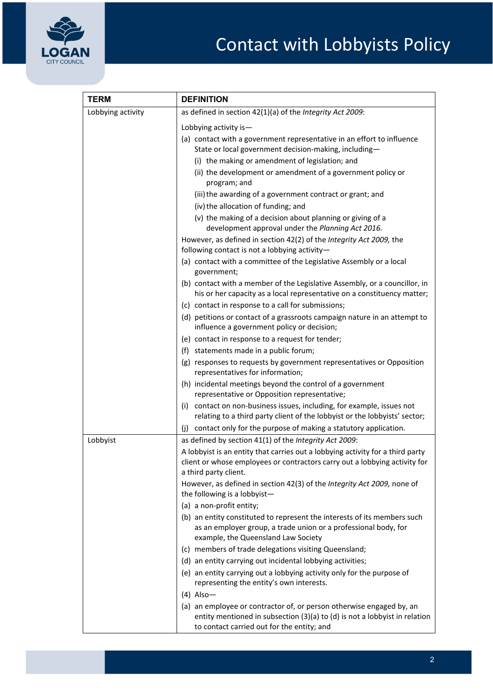

| <b>TERM</b>       | <b>DEFINITION</b>                                                                                                                                                                                    |  |  |
|-------------------|------------------------------------------------------------------------------------------------------------------------------------------------------------------------------------------------------|--|--|
| Lobbying activity | as defined in section 42(1)(a) of the Integrity Act 2009:                                                                                                                                            |  |  |
|                   | Lobbying activity is-                                                                                                                                                                                |  |  |
|                   | (a) contact with a government representative in an effort to influence<br>State or local government decision-making, including-                                                                      |  |  |
|                   | (i) the making or amendment of legislation; and                                                                                                                                                      |  |  |
|                   | (ii) the development or amendment of a government policy or<br>program; and                                                                                                                          |  |  |
|                   | (iii) the awarding of a government contract or grant; and                                                                                                                                            |  |  |
|                   | (iv) the allocation of funding; and                                                                                                                                                                  |  |  |
|                   | (v) the making of a decision about planning or giving of a<br>development approval under the Planning Act 2016.                                                                                      |  |  |
|                   | However, as defined in section 42(2) of the Integrity Act 2009, the<br>following contact is not a lobbying activity-                                                                                 |  |  |
|                   | (a) contact with a committee of the Legislative Assembly or a local<br>government;                                                                                                                   |  |  |
|                   | (b) contact with a member of the Legislative Assembly, or a councillor, in<br>his or her capacity as a local representative on a constituency matter;                                                |  |  |
|                   | (c) contact in response to a call for submissions;                                                                                                                                                   |  |  |
|                   | (d) petitions or contact of a grassroots campaign nature in an attempt to<br>influence a government policy or decision;                                                                              |  |  |
|                   | (e) contact in response to a request for tender;                                                                                                                                                     |  |  |
|                   | (f) statements made in a public forum;                                                                                                                                                               |  |  |
|                   | (g) responses to requests by government representatives or Opposition<br>representatives for information;                                                                                            |  |  |
|                   | (h) incidental meetings beyond the control of a government<br>representative or Opposition representative;                                                                                           |  |  |
|                   | contact on non-business issues, including, for example, issues not<br>(i)<br>relating to a third party client of the lobbyist or the lobbyists' sector;                                              |  |  |
|                   | (j) contact only for the purpose of making a statutory application.                                                                                                                                  |  |  |
| Lobbyist          | as defined by section 41(1) of the Integrity Act 2009:                                                                                                                                               |  |  |
|                   | A lobbyist is an entity that carries out a lobbying activity for a third party<br>client or whose employees or contractors carry out a lobbying activity for<br>a third party client.                |  |  |
|                   | However, as defined in section 42(3) of the Integrity Act 2009, none of                                                                                                                              |  |  |
|                   | the following is a lobbyist-                                                                                                                                                                         |  |  |
|                   | (a) a non-profit entity;                                                                                                                                                                             |  |  |
|                   | (b) an entity constituted to represent the interests of its members such                                                                                                                             |  |  |
|                   | as an employer group, a trade union or a professional body, for<br>example, the Queensland Law Society                                                                                               |  |  |
|                   | (c) members of trade delegations visiting Queensland;                                                                                                                                                |  |  |
|                   | (d) an entity carrying out incidental lobbying activities;                                                                                                                                           |  |  |
|                   | (e) an entity carrying out a lobbying activity only for the purpose of<br>representing the entity's own interests.                                                                                   |  |  |
|                   | $(4)$ Also-                                                                                                                                                                                          |  |  |
|                   | (a) an employee or contractor of, or person otherwise engaged by, an<br>entity mentioned in subsection $(3)(a)$ to $(d)$ is not a lobbyist in relation<br>to contact carried out for the entity; and |  |  |